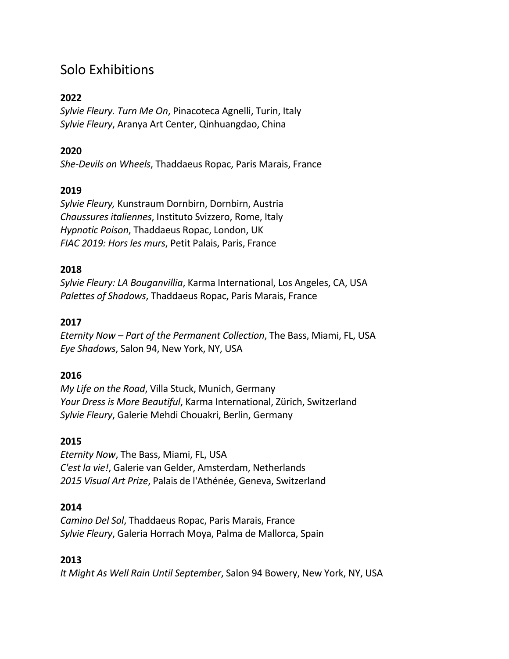# Solo Exhibitions

# **2022**

*Sylvie Fleury. Turn Me On*, Pinacoteca Agnelli, Turin, Italy *Sylvie Fleury*, Aranya Art Center, Qinhuangdao, China

# **2020**

*She-Devils on Wheels*, Thaddaeus Ropac, Paris Marais, France

# **2019**

*Sylvie Fleury,* Kunstraum Dornbirn, Dornbirn, Austria *Chaussures italiennes*, Instituto Svizzero, Rome, Italy *Hypnotic Poison*, Thaddaeus Ropac, London, UK *FIAC 2019: Hors les murs*, Petit Palais, Paris, France

# **2018**

*Sylvie Fleury: LA Bouganvillia*, Karma International, Los Angeles, CA, USA *Palettes of Shadows*, Thaddaeus Ropac, Paris Marais, France

### **2017**

*Eternity Now – Part of the Permanent Collection*, The Bass, Miami, FL, USA *Eye Shadows*, Salon 94, New York, NY, USA

# **2016**

*My Life on the Road*, Villa Stuck, Munich, Germany *Your Dress is More Beautiful*, Karma International, Zürich, Switzerland *Sylvie Fleury*, Galerie Mehdi Chouakri, Berlin, Germany

# **2015**

*Eternity Now*, The Bass, Miami, FL, USA *C'est la vie!*, Galerie van Gelder, Amsterdam, Netherlands *2015 Visual Art Prize*, Palais de l'Athénée, Geneva, Switzerland

### **2014**

*Camino Del Sol*, Thaddaeus Ropac, Paris Marais, France *Sylvie Fleury*, Galeria Horrach Moya, Palma de Mallorca, Spain

# **2013**

*It Might As Well Rain Until September*, Salon 94 Bowery, New York, NY, USA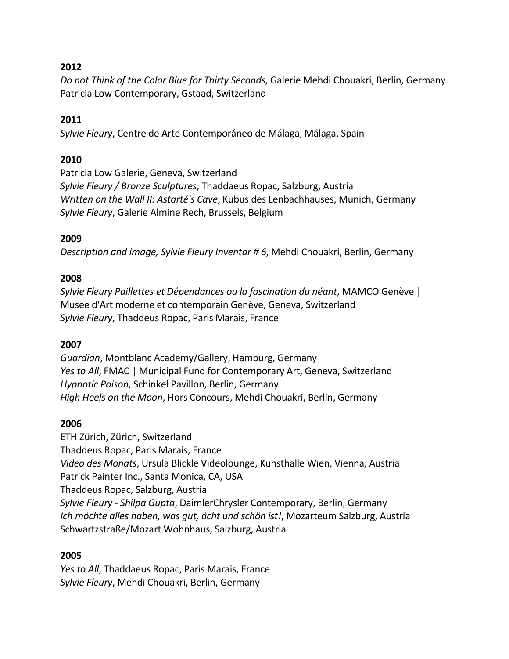*Do not Think of the Color Blue for Thirty Seconds*, Galerie Mehdi Chouakri, Berlin, Germany Patricia Low Contemporary, Gstaad, Switzerland

### **2011**

*Sylvie Fleury*, Centre de Arte Contemporáneo de Málaga, Málaga, Spain

### **2010**

Patricia Low Galerie, Geneva, Switzerland *Sylvie Fleury / Bronze Sculptures*, Thaddaeus Ropac, Salzburg, Austria *Written on the Wall II: Astarté's Cave*, Kubus des Lenbachhauses, Munich, Germany *Sylvie Fleury*, Galerie Almine Rech, Brussels, Belgium

### **2009**

*Description and image, Sylvie Fleury Inventar # 6*, Mehdi Chouakri, Berlin, Germany

### **2008**

*Sylvie Fleury Paillettes et Dépendances ou la fascination du néant*, MAMCO Genève | Musée d'Art moderne et contemporain Genève, Geneva, Switzerland *Sylvie Fleury*, Thaddeus Ropac, Paris Marais, France

### **2007**

*Guardian*, Montblanc Academy/Gallery, Hamburg, Germany *Yes to All*, FMAC | Municipal Fund for Contemporary Art, Geneva, Switzerland *Hypnotic Poison*, Schinkel Pavillon, Berlin, Germany *High Heels on the Moon*, Hors Concours, Mehdi Chouakri, Berlin, Germany

### **2006**

ETH Zürich, Zürich, Switzerland Thaddeus Ropac, Paris Marais, France *Video des Monats*, Ursula Blickle Videolounge, Kunsthalle Wien, Vienna, Austria Patrick Painter Inc., Santa Monica, CA, USA Thaddeus Ropac, Salzburg, Austria *Sylvie Fleury - Shilpa Gupta*, DaimlerChrysler Contemporary, Berlin, Germany *Ich möchte alles haben, was gut, ächt und schön ist!*, Mozarteum Salzburg, Austria Schwartzstraße/Mozart Wohnhaus, Salzburg, Austria

### **2005**

*Yes to All*, Thaddaeus Ropac, Paris Marais, France *Sylvie Fleury*, Mehdi Chouakri, Berlin, Germany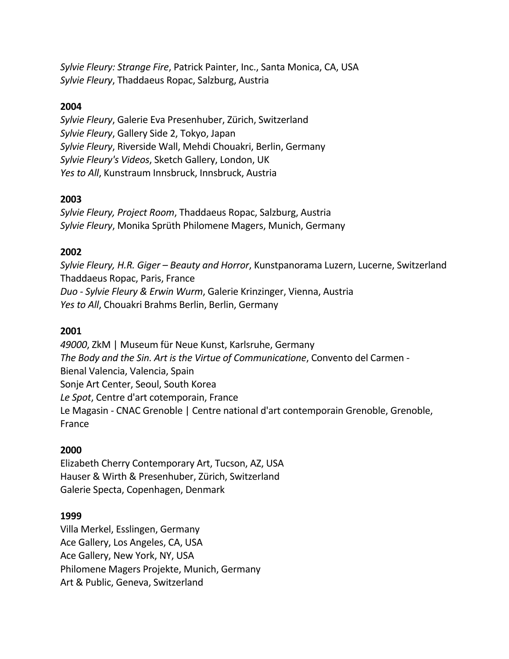*Sylvie Fleury: Strange Fire*, Patrick Painter, Inc., Santa Monica, CA, USA *Sylvie Fleury*, Thaddaeus Ropac, Salzburg, Austria

### **2004**

*Sylvie Fleury*, Galerie Eva Presenhuber, Zürich, Switzerland *Sylvie Fleury*, Gallery Side 2, Tokyo, Japan *Sylvie Fleury*, Riverside Wall, Mehdi Chouakri, Berlin, Germany *Sylvie Fleury's Videos*, Sketch Gallery, London, UK *Yes to All*, Kunstraum Innsbruck, Innsbruck, Austria

### **2003**

*Sylvie Fleury, Project Room*, Thaddaeus Ropac, Salzburg, Austria *Sylvie Fleury*, Monika Sprüth Philomene Magers, Munich, Germany

# **2002**

*Sylvie Fleury, H.R. Giger – Beauty and Horror*, Kunstpanorama Luzern, Lucerne, Switzerland Thaddaeus Ropac, Paris, France *Duo - Sylvie Fleury & Erwin Wurm*, Galerie Krinzinger, Vienna, Austria *Yes to All*, Chouakri Brahms Berlin, Berlin, Germany

### **2001**

*49000*, ZkM | Museum für Neue Kunst, Karlsruhe, Germany *The Body and the Sin. Art is the Virtue of Communicatione*, Convento del Carmen - Bienal Valencia, Valencia, Spain Sonje Art Center, Seoul, South Korea *Le Spot*, Centre d'art cotemporain, France Le Magasin *-* CNAC Grenoble | Centre national d'art contemporain Grenoble, Grenoble, France

### **2000**

Elizabeth Cherry Contemporary Art, Tucson, AZ, USA Hauser & Wirth & Presenhuber, Zürich, Switzerland Galerie Specta, Copenhagen, Denmark

### **1999**

Villa Merkel, Esslingen, Germany Ace Gallery, Los Angeles, CA, USA Ace Gallery, New York, NY, USA Philomene Magers Projekte, Munich, Germany Art & Public, Geneva, Switzerland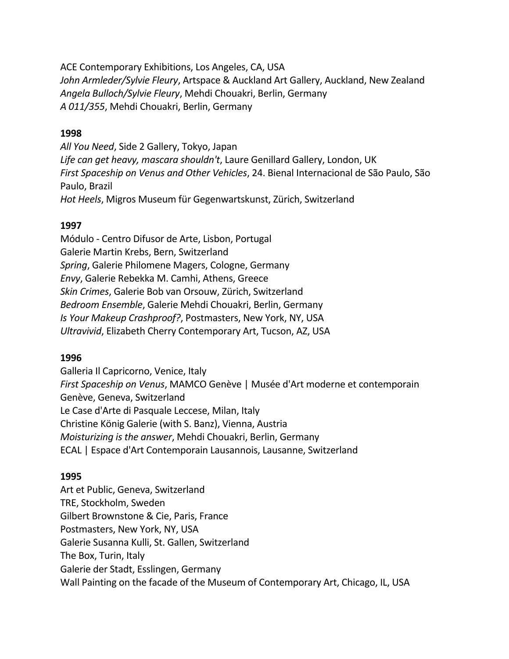ACE Contemporary Exhibitions, Los Angeles, CA, USA *John Armleder/Sylvie Fleury*, Artspace & Auckland Art Gallery, Auckland, New Zealand *Angela Bulloch/Sylvie Fleury*, Mehdi Chouakri, Berlin, Germany *A 011/355*, Mehdi Chouakri, Berlin, Germany

### **1998**

*All You Need*, Side 2 Gallery, Tokyo, Japan *Life can get heavy, mascara shouldn't*, Laure Genillard Gallery, London, UK *First Spaceship on Venus and Other Vehicles*, 24. Bienal Internacional de São Paulo, São Paulo, Brazil *Hot Heels*, Migros Museum für Gegenwartskunst, Zürich, Switzerland

### **1997**

Módulo - Centro Difusor de Arte, Lisbon, Portugal Galerie Martin Krebs, Bern, Switzerland *Spring*, Galerie Philomene Magers, Cologne, Germany *Envy*, Galerie Rebekka M. Camhi, Athens, Greece *Skin Crimes*, Galerie Bob van Orsouw, Zürich, Switzerland *Bedroom Ensemble*, Galerie Mehdi Chouakri, Berlin, Germany *Is Your Makeup Crashproof?*, Postmasters, New York, NY, USA *Ultravivid*, Elizabeth Cherry Contemporary Art, Tucson, AZ, USA

# **1996**

Galleria Il Capricorno, Venice, Italy *First Spaceship on Venus*, MAMCO Genève | Musée d'Art moderne et contemporain Genève, Geneva, Switzerland Le Case d'Arte di Pasquale Leccese, Milan, Italy Christine König Galerie (with S. Banz), Vienna, Austria *Moisturizing is the answer*, Mehdi Chouakri, Berlin, Germany ECAL | Espace d'Art Contemporain Lausannois, Lausanne, Switzerland

### **1995**

Art et Public, Geneva, Switzerland TRE, Stockholm, Sweden Gilbert Brownstone & Cie, Paris, France Postmasters, New York, NY, USA Galerie Susanna Kulli, St. Gallen, Switzerland The Box, Turin, Italy Galerie der Stadt, Esslingen, Germany Wall Painting on the facade of the Museum of Contemporary Art, Chicago, IL, USA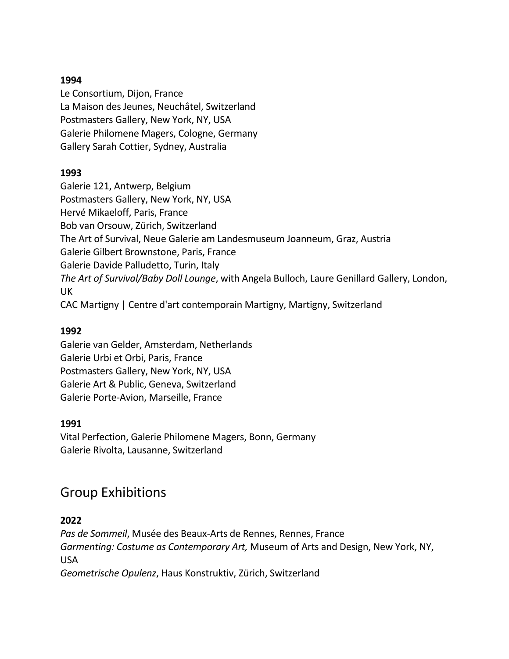Le Consortium, Dijon, France La Maison des Jeunes, Neuchâtel, Switzerland Postmasters Gallery, New York, NY, USA Galerie Philomene Magers, Cologne, Germany Gallery Sarah Cottier, Sydney, Australia

### **1993**

Galerie 121, Antwerp, Belgium Postmasters Gallery, New York, NY, USA Hervé Mikaeloff, Paris, France Bob van Orsouw, Zürich, Switzerland The Art of Survival, Neue Galerie am Landesmuseum Joanneum, Graz, Austria Galerie Gilbert Brownstone, Paris, France Galerie Davide Palludetto, Turin, Italy *The Art of Survival/Baby Doll Lounge*, with Angela Bulloch, Laure Genillard Gallery, London, UK CAC Martigny | Centre d'art contemporain Martigny, Martigny, Switzerland

# **1992**

Galerie van Gelder, Amsterdam, Netherlands Galerie Urbi et Orbi, Paris, France Postmasters Gallery, New York, NY, USA Galerie Art & Public, Geneva, Switzerland Galerie Porte-Avion, Marseille, France

# **1991**

Vital Perfection, Galerie Philomene Magers, Bonn, Germany Galerie Rivolta, Lausanne, Switzerland

# Group Exhibitions

# **2022**

*Pas de Sommeil*, Musée des Beaux-Arts de Rennes, Rennes, France *Garmenting: Costume as Contemporary Art,* Museum of Arts and Design, New York, NY, USA

*Geometrische Opulenz*, Haus Konstruktiv, Zürich, Switzerland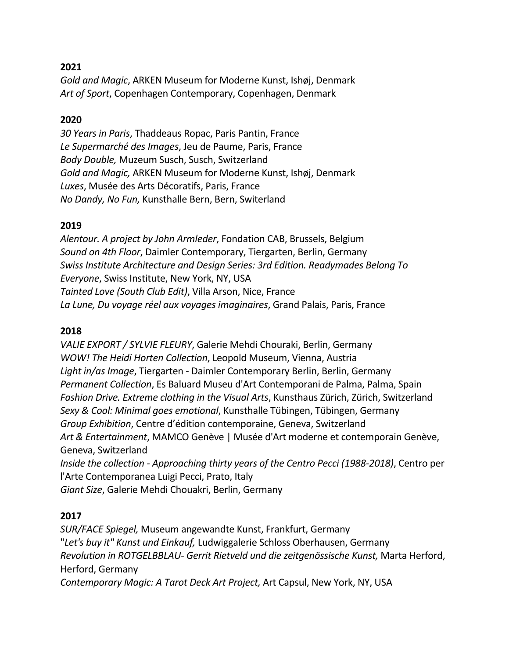*Gold and Magic*, ARKEN Museum for Moderne Kunst, Ishøj, Denmark *Art of Sport*, Copenhagen Contemporary, Copenhagen, Denmark

### **2020**

*30 Years in Paris*, Thaddeaus Ropac, Paris Pantin, France *Le Supermarché des Images*, Jeu de Paume, Paris, France *Body Double,* Muzeum Susch, Susch, Switzerland *Gold and Magic,* ARKEN Museum for Moderne Kunst, Ishøj, Denmark *Luxes*, Musée des Arts Décoratifs, Paris, France *No Dandy, No Fun,* Kunsthalle Bern, Bern, Switerland

### **2019**

*Alentour. A project by John Armleder*, Fondation CAB, Brussels, Belgium *Sound on 4th Floor*, Daimler Contemporary, Tiergarten, Berlin, Germany *Swiss Institute Architecture and Design Series: 3rd Edition. Readymades Belong To Everyone*, Swiss Institute, New York, NY, USA *Tainted Love (South Club Edit)*, Villa Arson, Nice, France *La Lune, Du voyage réel aux voyages imaginaires*, Grand Palais, Paris, France

# **2018**

*VALIE EXPORT / SYLVIE FLEURY*, Galerie Mehdi Chouraki, Berlin, Germany *WOW! The Heidi Horten Collection*, Leopold Museum, Vienna, Austria *Light in/as Image*, Tiergarten - Daimler Contemporary Berlin, Berlin, Germany *Permanent Collection*, Es Baluard Museu d'Art Contemporani de Palma, Palma, Spain *Fashion Drive. Extreme clothing in the Visual Arts*, Kunsthaus Zürich, Zürich, Switzerland *Sexy & Cool: Minimal goes emotional*, Kunsthalle Tübingen, Tübingen, Germany *Group Exhibition*, Centre d'édition contemporaine, Geneva, Switzerland *Art & Entertainment*, MAMCO Genève | Musée d'Art moderne et contemporain Genève, Geneva, Switzerland *Inside the collection - Approaching thirty years of the Centro Pecci (1988-2018)*, Centro per l'Arte Contemporanea Luigi Pecci, Prato, Italy *Giant Size*, Galerie Mehdi Chouakri, Berlin, Germany

# **2017**

*SUR/FACE Spiegel,* Museum angewandte Kunst, Frankfurt, Germany "*Let's buy it" Kunst und Einkauf,* Ludwiggalerie Schloss Oberhausen, Germany *Revolution in ROTGELBBLAU- Gerrit Rietveld und die zeitgenössische Kunst,* Marta Herford, Herford, Germany *Contemporary Magic: A Tarot Deck Art Project,* Art Capsul, New York, NY, USA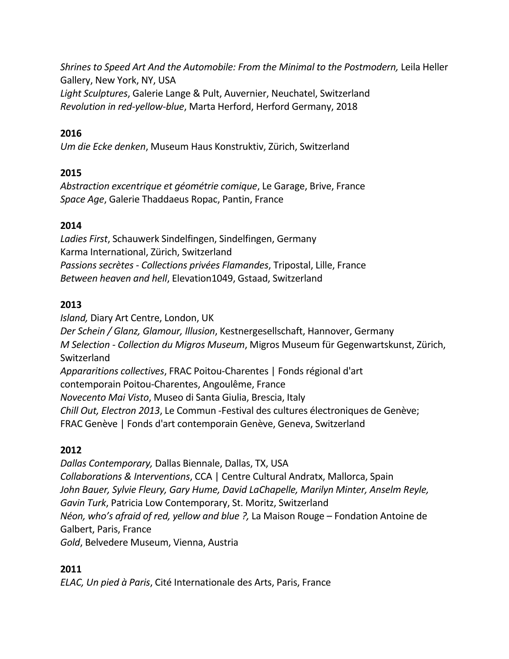*Shrines to Speed Art And the Automobile: From the Minimal to the Postmodern,* Leila Heller Gallery, New York, NY, USA

*Light Sculptures*, Galerie Lange & Pult, Auvernier, Neuchatel, Switzerland *Revolution in red-yellow-blue*, Marta Herford, Herford Germany, 2018

# **2016**

*Um die Ecke denken*, Museum Haus Konstruktiv, Zürich, Switzerland

# **2015**

*Abstraction excentrique et géométrie comique*, Le Garage, Brive, France *Space Age*, Galerie Thaddaeus Ropac, Pantin, France

# **2014**

*Ladies First*, Schauwerk Sindelfingen, Sindelfingen, Germany Karma International, Zürich, Switzerland *Passions secrètes - Collections privées Flamandes*, Tripostal, Lille, France *Between heaven and hell*, Elevation1049, Gstaad, Switzerland

# **2013**

*Island,* Diary Art Centre, London, UK *Der Schein / Glanz, Glamour, Illusion*, Kestnergesellschaft, Hannover, Germany *M Selection - Collection du Migros Museum*, Migros Museum für Gegenwartskunst, Zürich, Switzerland *Appararitions collectives*, FRAC Poitou-Charentes | Fonds régional d'art contemporain Poitou-Charentes, Angoulême, France *Novecento Mai Visto*, Museo di Santa Giulia, Brescia, Italy *Chill Out, Electron 2013*, Le Commun -Festival des cultures électroniques de Genève; FRAC Genève | Fonds d'art contemporain Genève, Geneva, Switzerland

# **2012**

*Dallas Contemporary,* Dallas Biennale, Dallas, TX, USA *Collaborations & Interventions*, CCA | Centre Cultural Andratx, Mallorca, Spain *John Bauer, Sylvie Fleury, Gary Hume, David LaChapelle, Marilyn Minter, Anselm Reyle, Gavin Turk*, Patricia Low Contemporary, St. Moritz, Switzerland *Néon, who's afraid of red, yellow and blue ?,* La Maison Rouge – Fondation Antoine de Galbert, Paris, France *Gold*, Belvedere Museum, Vienna, Austria

# **2011**

*ELAC, Un pied à Paris*, Cité Internationale des Arts, Paris, France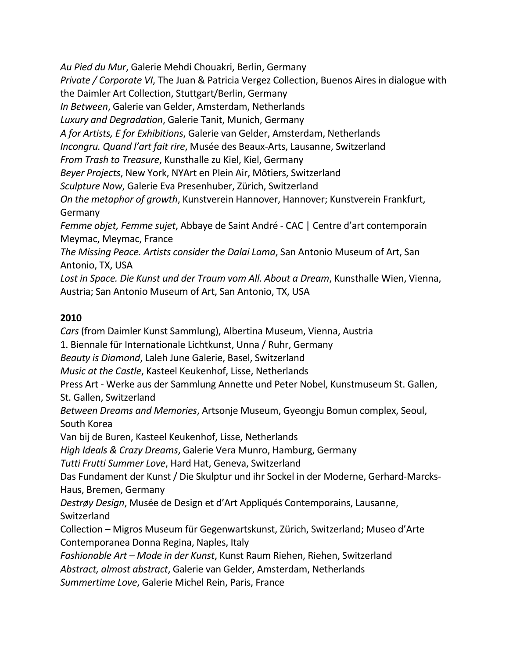*Au Pied du Mur*, Galerie Mehdi Chouakri, Berlin, Germany *Private / Corporate VI*, The Juan & Patricia Vergez Collection, Buenos Aires in dialogue with the Daimler Art Collection, Stuttgart/Berlin, Germany *In Between*, Galerie van Gelder, Amsterdam, Netherlands *Luxury and Degradation*, Galerie Tanit, Munich, Germany *A for Artists, E for Exhibitions*, Galerie van Gelder, Amsterdam, Netherlands *Incongru. Quand l'art fait rire*, Musée des Beaux-Arts, Lausanne, Switzerland *From Trash to Treasure*, Kunsthalle zu Kiel, Kiel, Germany *Beyer Projects*, New York, NYArt en Plein Air, Môtiers, Switzerland *Sculpture Now*, Galerie Eva Presenhuber, Zürich, Switzerland *On the metaphor of growth*, Kunstverein Hannover, Hannover; Kunstverein Frankfurt, Germany *Femme objet, Femme sujet*, Abbaye de Saint André - CAC | Centre d'art contemporain Meymac, Meymac, France *The Missing Peace. Artists consider the Dalai Lama*, San Antonio Museum of Art, San Antonio, TX, USA *Lost in Space. Die Kunst und der Traum vom All. About a Dream*, Kunsthalle Wien, Vienna, Austria; San Antonio Museum of Art, San Antonio, TX, USA

# **2010**

*Cars* (from Daimler Kunst Sammlung), Albertina Museum, Vienna, Austria 1. Biennale für Internationale Lichtkunst, Unna / Ruhr, Germany *Beauty is Diamond*, Laleh June Galerie, Basel, Switzerland *Music at the Castle*, Kasteel Keukenhof, Lisse, Netherlands Press Art - Werke aus der Sammlung Annette und Peter Nobel, Kunstmuseum St. Gallen, St. Gallen, Switzerland *Between Dreams and Memories*, Artsonje Museum, Gyeongju Bomun complex, Seoul, South Korea Van bij de Buren, Kasteel Keukenhof, Lisse, Netherlands *High Ideals & Crazy Dreams*, Galerie Vera Munro, Hamburg, Germany *Tutti Frutti Summer Love*, Hard Hat, Geneva, Switzerland Das Fundament der Kunst / Die Skulptur und ihr Sockel in der Moderne, Gerhard-Marcks-Haus, Bremen, Germany *Destrøy Design*, Musée de Design et d'Art Appliqués Contemporains, Lausanne, Switzerland Collection – Migros Museum für Gegenwartskunst, Zürich, Switzerland; Museo d'Arte Contemporanea Donna Regina, Naples, Italy *Fashionable Art – Mode in der Kunst*, Kunst Raum Riehen, Riehen, Switzerland *Abstract, almost abstract*, Galerie van Gelder, Amsterdam, Netherlands *Summertime Love*, Galerie Michel Rein, Paris, France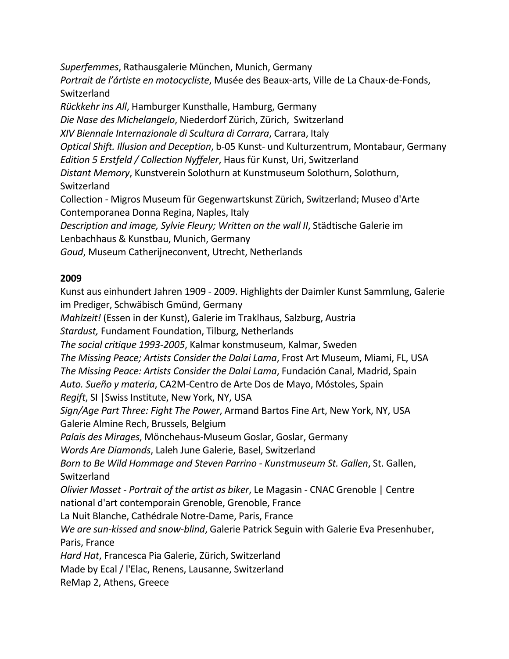*Superfemmes*, Rathausgalerie München, Munich, Germany *Portrait de l'ártiste en motocycliste*, Musée des Beaux-arts, Ville de La Chaux-de-Fonds, Switzerland *Rückkehr ins All*, Hamburger Kunsthalle, Hamburg, Germany *Die Nase des Michelangelo*, Niederdorf Zürich, Zürich, Switzerland *XIV Biennale Internazionale di Scultura di Carrara*, Carrara, Italy *Optical Shift. Illusion and Deception*, b-05 Kunst- und Kulturzentrum, Montabaur, Germany *Edition 5 Erstfeld / Collection Nyffeler*, Haus für Kunst, Uri, Switzerland *Distant Memory*, Kunstverein Solothurn at Kunstmuseum Solothurn, Solothurn, Switzerland Collection - Migros Museum für Gegenwartskunst Zürich, Switzerland; Museo d'Arte Contemporanea Donna Regina, Naples, Italy *Description and image, Sylvie Fleury; Written on the wall II*, Städtische Galerie im Lenbachhaus & Kunstbau, Munich, Germany *Goud*, Museum Catherijneconvent, Utrecht, Netherlands

### **2009**

Kunst aus einhundert Jahren 1909 - 2009. Highlights der Daimler Kunst Sammlung, Galerie im Prediger, Schwäbisch Gmünd, Germany *Mahlzeit!* (Essen in der Kunst), Galerie im Traklhaus, Salzburg, Austria *Stardust,* Fundament Foundation, Tilburg, Netherlands *The social critique 1993-2005*, Kalmar konstmuseum, Kalmar, Sweden *The Missing Peace; Artists Consider the Dalai Lama*, Frost Art Museum, Miami, FL, USA *The Missing Peace: Artists Consider the Dalai Lama*, Fundación Canal, Madrid, Spain *Auto. Sueño y materia*, CA2M-Centro de Arte Dos de Mayo, Móstoles, Spain *Regift*, SI |Swiss Institute, New York, NY, USA *Sign/Age Part Three: Fight The Power*, Armand Bartos Fine Art, New York, NY, USA Galerie Almine Rech, Brussels, Belgium *Palais des Mirages*, Mönchehaus-Museum Goslar, Goslar, Germany *Words Are Diamonds*, Laleh June Galerie, Basel, Switzerland *Born to Be Wild Hommage and Steven Parrino - Kunstmuseum St. Gallen*, St. Gallen, Switzerland *Olivier Mosset - Portrait of the artist as biker*, Le Magasin *-* CNAC Grenoble | Centre national d'art contemporain Grenoble, Grenoble, France La Nuit Blanche, Cathédrale Notre-Dame, Paris, France *We are sun-kissed and snow-blind*, Galerie Patrick Seguin with Galerie Eva Presenhuber, Paris, France *Hard Hat*, Francesca Pia Galerie, Zürich, Switzerland Made by Ecal / l'Elac, Renens, Lausanne, Switzerland ReMap 2, Athens, Greece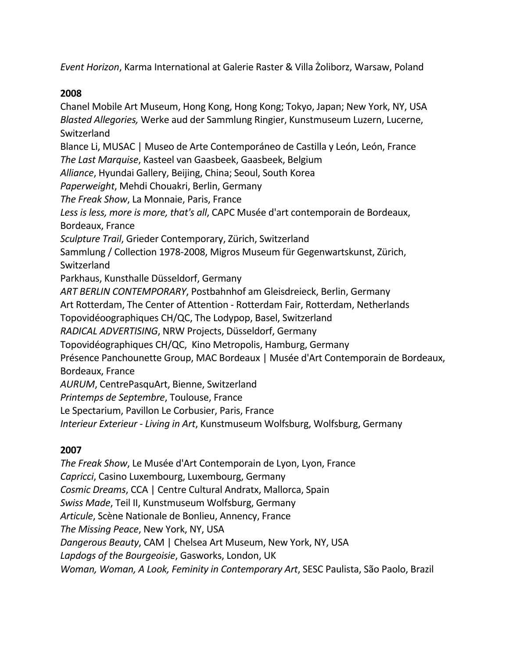*Event Horizon*, Karma International at Galerie Raster & Villa Żoliborz, Warsaw, Poland

# **2008**

Chanel Mobile Art Museum, Hong Kong, Hong Kong; Tokyo, Japan; New York, NY, USA *Blasted Allegories,* Werke aud der Sammlung Ringier, Kunstmuseum Luzern, Lucerne, Switzerland Blance Li, MUSAC | Museo de Arte Contemporáneo de Castilla y León, León, France *The Last Marquise*, Kasteel van Gaasbeek, Gaasbeek, Belgium *Alliance*, Hyundai Gallery, Beijing, China; Seoul, South Korea *Paperweight*, Mehdi Chouakri, Berlin, Germany *The Freak Show*, La Monnaie, Paris, France *Less is less, more is more, that's all*, CAPC Musée d'art contemporain de Bordeaux, Bordeaux, France *Sculpture Trail*, Grieder Contemporary, Zürich, Switzerland Sammlung / Collection 1978-2008, Migros Museum für Gegenwartskunst, Zürich, Switzerland Parkhaus, Kunsthalle Düsseldorf, Germany *ART BERLIN CONTEMPORARY*, Postbahnhof am Gleisdreieck, Berlin, Germany Art Rotterdam, The Center of Attention - Rotterdam Fair, Rotterdam, Netherlands Topovidéoographiques CH/QC, The Lodypop, Basel, Switzerland *RADICAL ADVERTISING*, NRW Projects, Düsseldorf, Germany Topovidéographiques CH/QC, Kino Metropolis, Hamburg, Germany Présence Panchounette Group, MAC Bordeaux | Musée d'Art Contemporain de Bordeaux, Bordeaux, France *AURUM*, CentrePasquArt, Bienne, Switzerland *Printemps de Septembre*, Toulouse, France Le Spectarium, Pavillon Le Corbusier, Paris, France *Interieur Exterieur - Living in Art*, Kunstmuseum Wolfsburg, Wolfsburg, Germany

# **2007**

*The Freak Show*, Le Musée d'Art Contemporain de Lyon, Lyon, France *Capricci*, Casino Luxembourg, Luxembourg, Germany *Cosmic Dreams*, CCA | Centre Cultural Andratx, Mallorca, Spain *Swiss Made*, Teil II, Kunstmuseum Wolfsburg, Germany *Articule*, Scène Nationale de Bonlieu, Annency, France *The Missing Peace*, New York, NY, USA *Dangerous Beauty*, CAM | Chelsea Art Museum, New York, NY, USA *Lapdogs of the Bourgeoisie*, Gasworks, London, UK *Woman, Woman, A Look, Feminity in Contemporary Art*, SESC Paulista, São Paolo, Brazil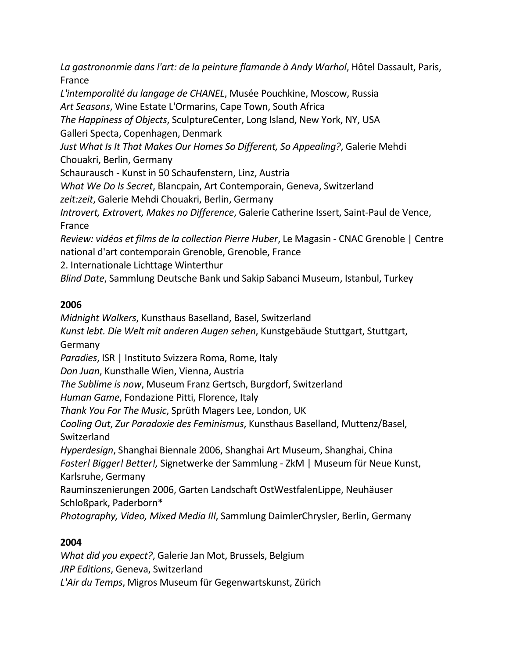*La gastrononmie dans l'art: de la peinture flamande à Andy Warhol*, Hôtel Dassault, Paris, France *L'intemporalité du langage de CHANEL*, Musée Pouchkine, Moscow, Russia *Art Seasons*, Wine Estate L'Ormarins, Cape Town, South Africa *The Happiness of Objects*, SculptureCenter, Long Island, New York, NY, USA

Galleri Specta, Copenhagen, Denmark

*Just What Is It That Makes Our Homes So Different, So Appealing?*, Galerie Mehdi Chouakri, Berlin, Germany

Schaurausch - Kunst in 50 Schaufenstern, Linz, Austria

*What We Do Is Secret*, Blancpain, Art Contemporain, Geneva, Switzerland

*zeit:zeit*, Galerie Mehdi Chouakri, Berlin, Germany

*Introvert, Extrovert, Makes no Difference*, Galerie Catherine Issert, Saint-Paul de Vence, France

*Review: vidéos et films de la collection Pierre Huber*, Le Magasin *-* CNAC Grenoble | Centre national d'art contemporain Grenoble, Grenoble, France

2. Internationale Lichttage Winterthur

*Blind Date*, Sammlung Deutsche Bank und Sakip Sabanci Museum, Istanbul, Turkey

# **2006**

*Midnight Walkers*, Kunsthaus Baselland, Basel, Switzerland *Kunst lebt. Die Welt mit anderen Augen sehen*, Kunstgebäude Stuttgart, Stuttgart, Germany *Paradies*, ISR | Instituto Svizzera Roma, Rome, Italy *Don Juan*, Kunsthalle Wien, Vienna, Austria *The Sublime is now*, Museum Franz Gertsch, Burgdorf, Switzerland *Human Game*, Fondazione Pitti, Florence, Italy *Thank You For The Music*, Sprüth Magers Lee, London, UK *Cooling Out*, *Zur Paradoxie des Feminismus*, Kunsthaus Baselland, Muttenz/Basel, Switzerland *Hyperdesign*, Shanghai Biennale 2006, Shanghai Art Museum, Shanghai, China *Faster! Bigger! Better!,* Signetwerke der Sammlung - ZkM | Museum für Neue Kunst, Karlsruhe, Germany Rauminszenierungen 2006, Garten Landschaft OstWestfalenLippe, Neuhäuser Schloßpark, Paderborn\* *Photography, Video, Mixed Media III*, Sammlung DaimlerChrysler, Berlin, Germany

# **2004**

*What did you expect?*, Galerie Jan Mot, Brussels, Belgium *JRP Editions*, Geneva, Switzerland *L'Air du Temps*, Migros Museum für Gegenwartskunst, Zürich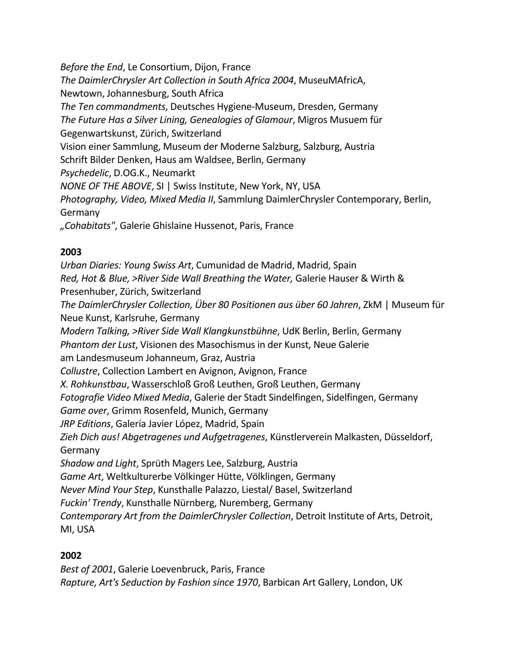*Before the End*, Le Consortium, Dijon, France *The DaimlerChrysler Art Collection in South Africa 2004*, MuseuMAfricA, Newtown, Johannesburg, South Africa *The Ten commandments*, Deutsches Hygiene-Museum, Dresden, Germany *The Future Has a Silver Lining, Genealogies of Glamour*, Migros Musuem für Gegenwartskunst, Zürich, Switzerland Vision einer Sammlung, Museum der Moderne Salzburg, Salzburg, Austria Schrift Bilder Denken, Haus am Waldsee, Berlin, Germany *Psychedelic*, D.OG.K., Neumarkt *NONE OF THE ABOVE*, SI | Swiss Institute, New York, NY, USA *Photography, Video, Mixed Media II*, Sammlung DaimlerChrysler Contemporary, Berlin, Germany *"Cohabitats"*, Galerie Ghislaine Hussenot, Paris, France

# **2003**

*Urban Diaries: Young Swiss Art*, Cumunidad de Madrid, Madrid, Spain *Red, Hot & Blue, >River Side Wall Breathing the Water,* Galerie Hauser & Wirth & Presenhuber, Zürich, Switzerland *The DaimlerChrysler Collection, Über 80 Positionen aus über 60 Jahren*, ZkM | Museum für Neue Kunst, Karlsruhe, Germany *Modern Talking, >River Side Wall Klangkunstbühne*, UdK Berlin, Berlin, Germany *Phantom der Lust*, Visionen des Masochismus in der Kunst, Neue Galerie am Landesmuseum Johanneum, Graz, Austria *Collustre*, Collection Lambert en Avignon, Avignon, France *X. Rohkunstbau*, Wasserschloß Groß Leuthen, Groß Leuthen, Germany *Fotografie Video Mixed Media*, Galerie der Stadt Sindelfingen, Sidelfingen, Germany *Game over*, Grimm Rosenfeld, Munich, Germany *JRP Editions*, Galería Javier López, Madrid, Spain *Zieh Dich aus! Abgetragenes und Aufgetragenes*, Künstlerverein Malkasten, Düsseldorf, Germany *Shadow and Light*, Sprüth Magers Lee, Salzburg, Austria *Game Art*, Weltkulturerbe Völkinger Hütte, Völklingen, Germany *Never Mind Your Step*, Kunsthalle Palazzo, Liestal/ Basel, Switzerland *Fuckin' Trendy*, Kunsthalle Nürnberg, Nuremberg, Germany *Contemporary Art from the DaimlerChrysler Collection*, Detroit Institute of Arts, Detroit, MI, USA

# **2002**

*Best of 2001*, Galerie Loevenbruck, Paris, France *Rapture, Art's Seduction by Fashion since 1970*, Barbican Art Gallery, London, UK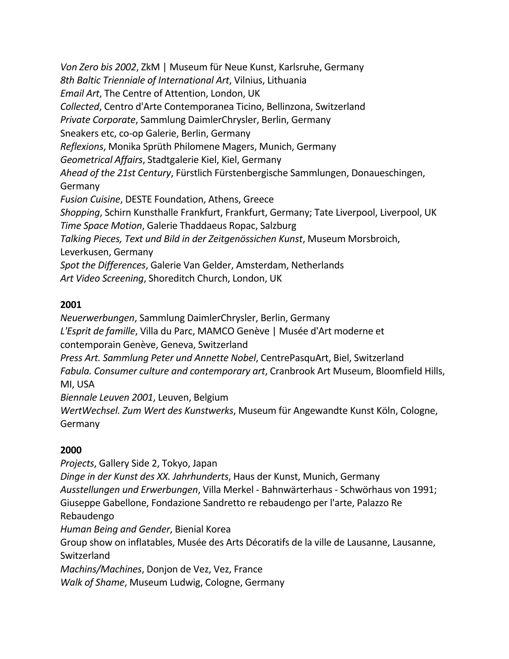*Von Zero bis 2002*, ZkM | Museum für Neue Kunst, Karlsruhe, Germany *8th Baltic Trienniale of International Art*, Vilnius, Lithuania *Email Art*, The Centre of Attention, London, UK *Collected*, Centro d'Arte Contemporanea Ticino, Bellinzona, Switzerland *Private Corporate*, Sammlung DaimlerChrysler, Berlin, Germany Sneakers etc, co-op Galerie, Berlin, Germany *Reflexions*, Monika Sprüth Philomene Magers, Munich, Germany *Geometrical Affairs*, Stadtgalerie Kiel, Kiel, Germany *Ahead of the 21st Century*, Fürstlich Fürstenbergische Sammlungen, Donaueschingen, Germany *Fusion Cuisine*, DESTE Foundation, Athens, Greece *Shopping*, Schirn Kunsthalle Frankfurt, Frankfurt, Germany; Tate Liverpool, Liverpool, UK *Time Space Motion*, Galerie Thaddaeus Ropac, Salzburg *Talking Pieces, Text und Bild in der Zeitgenössichen Kunst*, Museum Morsbroich, Leverkusen, Germany *Spot the Differences*, Galerie Van Gelder, Amsterdam, Netherlands *Art Video Screening*, Shoreditch Church, London, UK

# **2001**

*Neuerwerbungen*, Sammlung DaimlerChrysler, Berlin, Germany *L'Esprit de famille*, Villa du Parc, MAMCO Genève | Musée d'Art moderne et contemporain Genève, Geneva, Switzerland *Press Art. Sammlung Peter und Annette Nobel*, CentrePasquArt, Biel, Switzerland *Fabula. Consumer culture and contemporary art*, Cranbrook Art Museum, Bloomfield Hills, MI, USA *Biennale Leuven 2001*, Leuven, Belgium

*WertWechsel. Zum Wert des Kunstwerks*, Museum für Angewandte Kunst Köln, Cologne, Germany

# **2000**

*Projects*, Gallery Side 2, Tokyo, Japan *Dinge in der Kunst des XX. Jahrhunderts*, Haus der Kunst, Munich, Germany *Ausstellungen und Erwerbungen*, Villa Merkel - Bahnwärterhaus - Schwörhaus von 1991; Giuseppe Gabellone, Fondazione Sandretto re rebaudengo per l'arte, Palazzo Re Rebaudengo *Human Being and Gender*, Bienial Korea Group show on inflatables, Musée des Arts Décoratifs de la ville de Lausanne, Lausanne, Switzerland *Machins/Machines*, Donjon de Vez, Vez, France *Walk of Shame*, Museum Ludwig, Cologne, Germany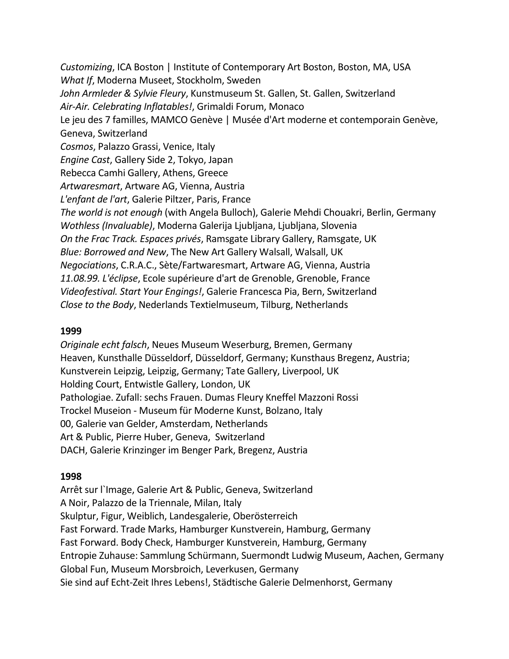*Customizing*, ICA Boston | Institute of Contemporary Art Boston, Boston, MA, USA *What If*, Moderna Museet, Stockholm, Sweden John Armleder & Sylvie Fleury, Kunstmuseum St. Gallen, St. Gallen, Switzerland *Air-Air. Celebrating Inflatables!*, Grimaldi Forum, Monaco Le jeu des 7 familles, MAMCO Genève | Musée d'Art moderne et contemporain Genève, Geneva, Switzerland *Cosmos*, Palazzo Grassi, Venice, Italy *Engine Cast*, Gallery Side 2, Tokyo, Japan Rebecca Camhi Gallery, Athens, Greece *Artwaresmart*, Artware AG, Vienna, Austria *L'enfant de l'art*, Galerie Piltzer, Paris, France *The world is not enough* (with Angela Bulloch), Galerie Mehdi Chouakri, Berlin, Germany *Wothless (Invaluable)*, Moderna Galerija Ljubljana, Ljubljana, Slovenia *On the Frac Track. Espaces privés*, Ramsgate Library Gallery, Ramsgate, UK *Blue: Borrowed and New*, The New Art Gallery Walsall, Walsall, UK *Negociations*, C.R.A.C., Sète/Fartwaresmart, Artware AG, Vienna, Austria *11.08.99. L'éclipse*, Ecole supérieure d'art de Grenoble, Grenoble, France *Videofestival. Start Your Engings!*, Galerie Francesca Pia, Bern, Switzerland *Close to the Body*, Nederlands Textielmuseum, Tilburg, Netherlands

### **1999**

*Originale echt falsch*, Neues Museum Weserburg, Bremen, Germany Heaven, Kunsthalle Düsseldorf, Düsseldorf, Germany; Kunsthaus Bregenz, Austria; Kunstverein Leipzig, Leipzig, Germany; Tate Gallery, Liverpool, UK Holding Court, Entwistle Gallery, London, UK Pathologiae. Zufall: sechs Frauen. Dumas Fleury Kneffel Mazzoni Rossi Trockel Museion - Museum für Moderne Kunst, Bolzano, Italy 00, Galerie van Gelder, Amsterdam, Netherlands Art & Public, Pierre Huber, Geneva, Switzerland DACH, Galerie Krinzinger im Benger Park, Bregenz, Austria

### **1998**

Arrêt sur l`Image, Galerie Art & Public, Geneva, Switzerland A Noir, Palazzo de la Triennale, Milan, Italy Skulptur, Figur, Weiblich, Landesgalerie, Oberösterreich Fast Forward. Trade Marks, Hamburger Kunstverein, Hamburg, Germany Fast Forward. Body Check, Hamburger Kunstverein, Hamburg, Germany Entropie Zuhause: Sammlung Schürmann, Suermondt Ludwig Museum, Aachen, Germany Global Fun, Museum Morsbroich, Leverkusen, Germany Sie sind auf Echt-Zeit Ihres Lebens!, Städtische Galerie Delmenhorst, Germany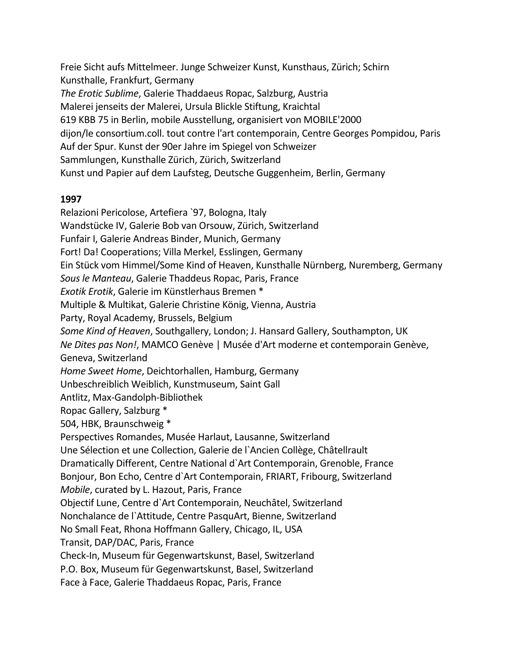Freie Sicht aufs Mittelmeer. Junge Schweizer Kunst, Kunsthaus, Zürich; Schirn Kunsthalle, Frankfurt, Germany *The Erotic Sublime*, Galerie Thaddaeus Ropac, Salzburg, Austria Malerei jenseits der Malerei, Ursula Blickle Stiftung, Kraichtal 619 KBB 75 in Berlin, mobile Ausstellung, organisiert von MOBILE'2000 dijon/le consortium.coll. tout contre l'art contemporain, Centre Georges Pompidou, Paris Auf der Spur. Kunst der 90er Jahre im Spiegel von Schweizer Sammlungen, Kunsthalle Zürich, Zürich, Switzerland Kunst und Papier auf dem Laufsteg, Deutsche Guggenheim, Berlin, Germany

### **1997**

Relazioni Pericolose, Artefiera `97, Bologna, Italy Wandstücke IV, Galerie Bob van Orsouw, Zürich, Switzerland Funfair I, Galerie Andreas Binder, Munich, Germany Fort! Da! Cooperations; Villa Merkel, Esslingen, Germany Ein Stück vom Himmel/Some Kind of Heaven, Kunsthalle Nürnberg, Nuremberg, Germany *Sous le Manteau*, Galerie Thaddeus Ropac, Paris, France *Exotik Erotik*, Galerie im Künstlerhaus Bremen \* Multiple & Multikat, Galerie Christine König, Vienna, Austria Party, Royal Academy, Brussels, Belgium *Some Kind of Heaven*, Southgallery, London; J. Hansard Gallery, Southampton, UK *Ne Dites pas Non!*, MAMCO Genève | Musée d'Art moderne et contemporain Genève, Geneva, Switzerland *Home Sweet Home*, Deichtorhallen, Hamburg, Germany Unbeschreiblich Weiblich, Kunstmuseum, Saint Gall Antlitz, Max-Gandolph-Bibliothek Ropac Gallery, Salzburg \* 504, HBK, Braunschweig \* Perspectives Romandes, Musée Harlaut, Lausanne, Switzerland Une Sélection et une Collection, Galerie de l`Ancien Collège, Châtellrault Dramatically Different, Centre National d`Art Contemporain, Grenoble, France Bonjour, Bon Echo, Centre d`Art Contemporain, FRIART, Fribourg, Switzerland *Mobile*, curated by L. Hazout, Paris, France Objectif Lune, Centre d`Art Contemporain, Neuchâtel, Switzerland Nonchalance de l`Attitude, Centre PasquArt, Bienne, Switzerland No Small Feat, Rhona Hoffmann Gallery, Chicago, IL, USA Transit, DAP/DAC, Paris, France Check-In, Museum für Gegenwartskunst, Basel, Switzerland P.O. Box, Museum für Gegenwartskunst, Basel, Switzerland Face à Face, Galerie Thaddaeus Ropac, Paris, France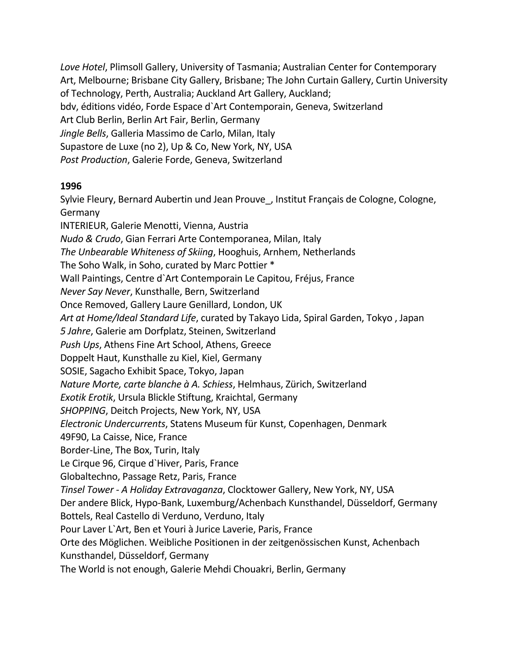*Love Hotel*, Plimsoll Gallery, University of Tasmania; Australian Center for Contemporary Art, Melbourne; Brisbane City Gallery, Brisbane; The John Curtain Gallery, Curtin University of Technology, Perth, Australia; Auckland Art Gallery, Auckland; bdv, éditions vidéo, Forde Espace d`Art Contemporain, Geneva, Switzerland Art Club Berlin, Berlin Art Fair, Berlin, Germany *Jingle Bells*, Galleria Massimo de Carlo, Milan, Italy Supastore de Luxe (no 2), Up & Co, New York, NY, USA *Post Production*, Galerie Forde, Geneva, Switzerland

### **1996**

Sylvie Fleury, Bernard Aubertin und Jean Prouve\_, Institut Français de Cologne, Cologne, Germany INTERIEUR, Galerie Menotti, Vienna, Austria *Nudo & Crudo*, Gian Ferrari Arte Contemporanea, Milan, Italy *The Unbearable Whiteness of Skiing*, Hooghuis, Arnhem, Netherlands The Soho Walk, in Soho, curated by Marc Pottier \* Wall Paintings, Centre d`Art Contemporain Le Capitou, Fréjus, France *Never Say Never*, Kunsthalle, Bern, Switzerland Once Removed, Gallery Laure Genillard, London, UK *Art at Home/Ideal Standard Life*, curated by Takayo Lida, Spiral Garden, Tokyo , Japan *5 Jahre*, Galerie am Dorfplatz, Steinen, Switzerland *Push Ups*, Athens Fine Art School, Athens, Greece Doppelt Haut, Kunsthalle zu Kiel, Kiel, Germany SOSIE, Sagacho Exhibit Space, Tokyo, Japan *Nature Morte, carte blanche à A. Schiess*, Helmhaus, Zürich, Switzerland *Exotik Erotik*, Ursula Blickle Stiftung, Kraichtal, Germany *SHOPPING*, Deitch Projects, New York, NY, USA *Electronic Undercurrents*, Statens Museum für Kunst, Copenhagen, Denmark 49F90, La Caisse, Nice, France Border-Line, The Box, Turin, Italy Le Cirque 96, Cirque d`Hiver, Paris, France Globaltechno, Passage Retz, Paris, France *Tinsel Tower - A Holiday Extravaganza*, Clocktower Gallery, New York, NY, USA Der andere Blick, Hypo-Bank, Luxemburg/Achenbach Kunsthandel, Düsseldorf, Germany Bottels, Real Castello di Verduno, Verduno, Italy Pour Laver L`Art, Ben et Youri à Jurice Laverie, Paris, France Orte des Möglichen. Weibliche Positionen in der zeitgenössischen Kunst, Achenbach Kunsthandel, Düsseldorf, Germany The World is not enough, Galerie Mehdi Chouakri, Berlin, Germany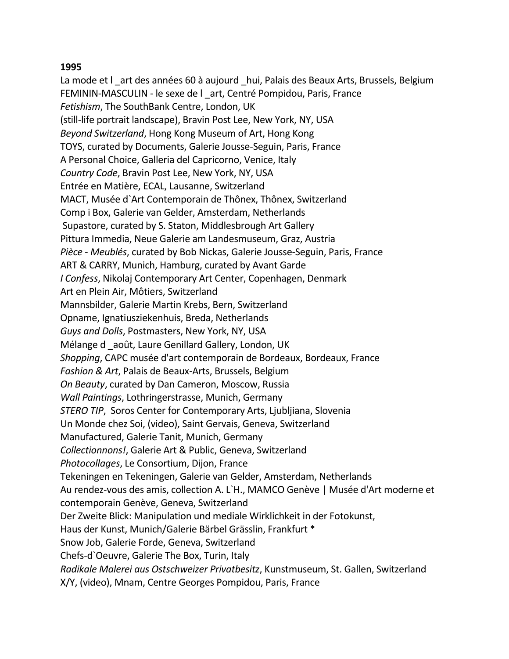La mode et lart des années 60 à aujourd hui, Palais des Beaux Arts, Brussels, Belgium FEMININ-MASCULIN - le sexe de l \_art, Centré Pompidou, Paris, France *Fetishism*, The SouthBank Centre, London, UK (still-life portrait landscape), Bravin Post Lee, New York, NY, USA *Beyond Switzerland*, Hong Kong Museum of Art, Hong Kong TOYS, curated by Documents, Galerie Jousse-Seguin, Paris, France A Personal Choice, Galleria del Capricorno, Venice, Italy *Country Code*, Bravin Post Lee, New York, NY, USA Entrée en Matière, ECAL, Lausanne, Switzerland MACT, Musée d`Art Contemporain de Thônex, Thônex, Switzerland Comp i Box, Galerie van Gelder, Amsterdam, Netherlands Supastore, curated by S. Staton, Middlesbrough Art Gallery Pittura Immedia, Neue Galerie am Landesmuseum, Graz, Austria *Pièce - Meublés*, curated by Bob Nickas, Galerie Jousse-Seguin, Paris, France ART & CARRY, Munich, Hamburg, curated by Avant Garde *I Confess*, Nikolaj Contemporary Art Center, Copenhagen, Denmark Art en Plein Air, Môtiers, Switzerland Mannsbilder, Galerie Martin Krebs, Bern, Switzerland Opname, Ignatiusziekenhuis, Breda, Netherlands *Guys and Dolls*, Postmasters, New York, NY, USA Mélange d \_août, Laure Genillard Gallery, London, UK *Shopping*, CAPC musée d'art contemporain de Bordeaux, Bordeaux, France *Fashion & Art*, Palais de Beaux-Arts, Brussels, Belgium *On Beauty*, curated by Dan Cameron, Moscow, Russia *Wall Paintings*, Lothringerstrasse, Munich, Germany *STERO TIP*, Soros Center for Contemporary Arts, Ljubljiana, Slovenia Un Monde chez Soi, (video), Saint Gervais, Geneva, Switzerland Manufactured, Galerie Tanit, Munich, Germany *Collectionnons!*, Galerie Art & Public, Geneva, Switzerland *Photocollages*, Le Consortium, Dijon, France Tekeningen en Tekeningen, Galerie van Gelder, Amsterdam, Netherlands Au rendez-vous des amis, collection A. L`H., MAMCO Genève | Musée d'Art moderne et contemporain Genève, Geneva, Switzerland Der Zweite Blick: Manipulation und mediale Wirklichkeit in der Fotokunst, Haus der Kunst, Munich/Galerie Bärbel Grässlin, Frankfurt \* Snow Job, Galerie Forde, Geneva, Switzerland Chefs-d`Oeuvre, Galerie The Box, Turin, Italy *Radikale Malerei aus Ostschweizer Privatbesitz*, Kunstmuseum, St. Gallen, Switzerland X/Y, (video), Mnam, Centre Georges Pompidou, Paris, France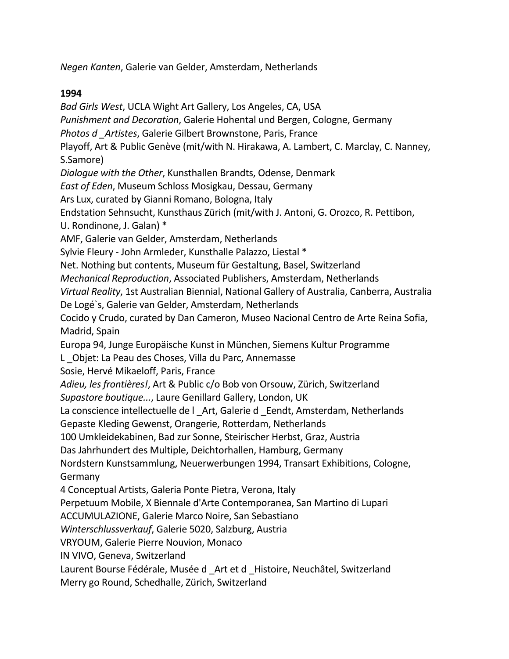*Negen Kanten*, Galerie van Gelder, Amsterdam, Netherlands

### **1994**

*Bad Girls West*, UCLA Wight Art Gallery, Los Angeles, CA, USA *Punishment and Decoration*, Galerie Hohental und Bergen, Cologne, Germany *Photos d \_Artistes*, Galerie Gilbert Brownstone, Paris, France Playoff, Art & Public Genève (mit/with N. Hirakawa, A. Lambert, C. Marclay, C. Nanney, S.Samore) *Dialogue with the Other*, Kunsthallen Brandts, Odense, Denmark *East of Eden*, Museum Schloss Mosigkau, Dessau, Germany Ars Lux, curated by Gianni Romano, Bologna, Italy Endstation Sehnsucht, Kunsthaus Zürich (mit/with J. Antoni, G. Orozco, R. Pettibon, U. Rondinone, J. Galan) \* AMF, Galerie van Gelder, Amsterdam, Netherlands Sylvie Fleury - John Armleder, Kunsthalle Palazzo, Liestal \* Net. Nothing but contents, Museum für Gestaltung, Basel, Switzerland *Mechanical Reproduction*, Associated Publishers, Amsterdam, Netherlands *Virtual Reality*, 1st Australian Biennial, National Gallery of Australia, Canberra, Australia De Logé`s, Galerie van Gelder, Amsterdam, Netherlands Cocido y Crudo, curated by Dan Cameron, Museo Nacional Centro de Arte Reina Sofia, Madrid, Spain Europa 94, Junge Europäische Kunst in München, Siemens Kultur Programme L \_Objet: La Peau des Choses, Villa du Parc, Annemasse Sosie, Hervé Mikaeloff, Paris, France *Adieu, les frontières!*, Art & Public c/o Bob von Orsouw, Zürich, Switzerland *Supastore boutique...*, Laure Genillard Gallery, London, UK La conscience intellectuelle de l Art, Galerie d Eendt, Amsterdam, Netherlands Gepaste Kleding Gewenst, Orangerie, Rotterdam, Netherlands 100 Umkleidekabinen, Bad zur Sonne, Steirischer Herbst, Graz, Austria Das Jahrhundert des Multiple, Deichtorhallen, Hamburg, Germany Nordstern Kunstsammlung, Neuerwerbungen 1994, Transart Exhibitions, Cologne, Germany 4 Conceptual Artists, Galeria Ponte Pietra, Verona, Italy Perpetuum Mobile, X Biennale d'Arte Contemporanea, San Martino di Lupari ACCUMULAZIONE, Galerie Marco Noire, San Sebastiano *Winterschlussverkauf*, Galerie 5020, Salzburg, Austria VRYOUM, Galerie Pierre Nouvion, Monaco IN VIVO, Geneva, Switzerland Laurent Bourse Fédérale, Musée d Art et d Histoire, Neuchâtel, Switzerland Merry go Round, Schedhalle, Zürich, Switzerland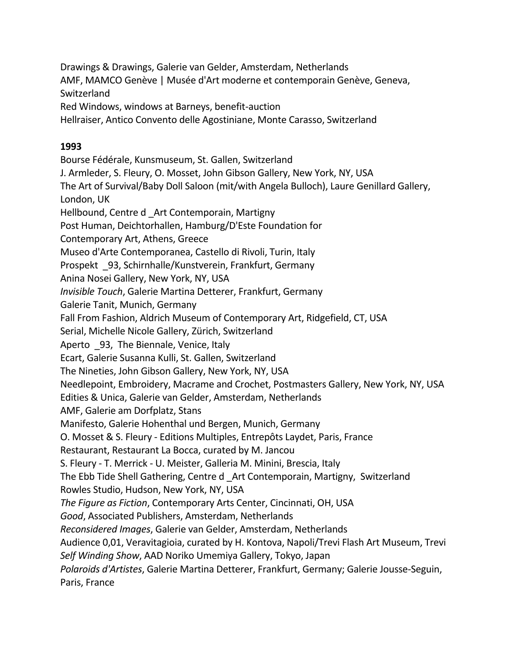Drawings & Drawings, Galerie van Gelder, Amsterdam, Netherlands AMF, MAMCO Genève | Musée d'Art moderne et contemporain Genève, Geneva, Switzerland

Red Windows, windows at Barneys, benefit-auction

Hellraiser, Antico Convento delle Agostiniane, Monte Carasso, Switzerland

### **1993**

Bourse Fédérale, Kunsmuseum, St. Gallen, Switzerland J. Armleder, S. Fleury, O. Mosset, John Gibson Gallery, New York, NY, USA The Art of Survival/Baby Doll Saloon (mit/with Angela Bulloch), Laure Genillard Gallery, London, UK Hellbound, Centre d \_Art Contemporain, Martigny Post Human, Deichtorhallen, Hamburg/D'Este Foundation for Contemporary Art, Athens, Greece Museo d'Arte Contemporanea, Castello di Rivoli, Turin, Italy Prospekt \_93, Schirnhalle/Kunstverein, Frankfurt, Germany Anina Nosei Gallery, New York, NY, USA *Invisible Touch*, Galerie Martina Detterer, Frankfurt, Germany Galerie Tanit, Munich, Germany Fall From Fashion, Aldrich Museum of Contemporary Art, Ridgefield, CT, USA Serial, Michelle Nicole Gallery, Zürich, Switzerland Aperto \_93, The Biennale, Venice, Italy Ecart, Galerie Susanna Kulli, St. Gallen, Switzerland The Nineties, John Gibson Gallery, New York, NY, USA Needlepoint, Embroidery, Macrame and Crochet, Postmasters Gallery, New York, NY, USA Edities & Unica, Galerie van Gelder, Amsterdam, Netherlands AMF, Galerie am Dorfplatz, Stans Manifesto, Galerie Hohenthal und Bergen, Munich, Germany O. Mosset & S. Fleury - Editions Multiples, Entrepôts Laydet, Paris, France Restaurant, Restaurant La Bocca, curated by M. Jancou S. Fleury - T. Merrick - U. Meister, Galleria M. Minini, Brescia, Italy The Ebb Tide Shell Gathering, Centre d \_Art Contemporain, Martigny, Switzerland Rowles Studio, Hudson, New York, NY, USA *The Figure as Fiction*, Contemporary Arts Center, Cincinnati, OH, USA *Good*, Associated Publishers, Amsterdam, Netherlands *Reconsidered Images*, Galerie van Gelder, Amsterdam, Netherlands Audience 0,01, Veravitagioia, curated by H. Kontova, Napoli/Trevi Flash Art Museum, Trevi *Self Winding Show*, AAD Noriko Umemiya Gallery, Tokyo, Japan *Polaroids d'Artistes*, Galerie Martina Detterer, Frankfurt, Germany; Galerie Jousse-Seguin, Paris, France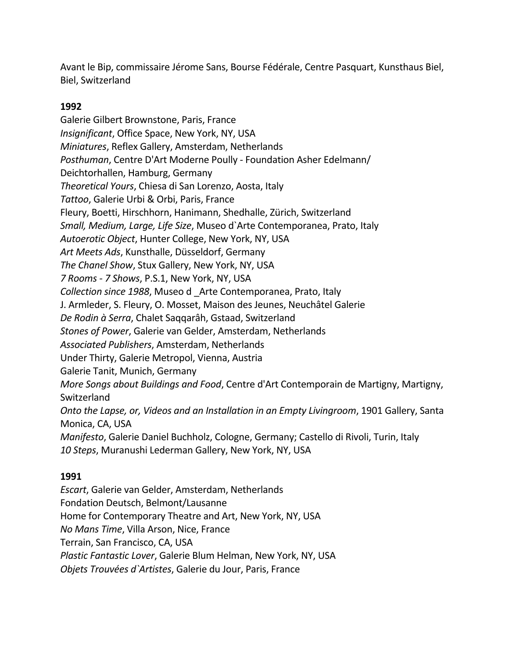Avant le Bip, commissaire Jérome Sans, Bourse Fédérale, Centre Pasquart, Kunsthaus Biel, Biel, Switzerland

### **1992**

Galerie Gilbert Brownstone, Paris, France *Insignificant*, Office Space, New York, NY, USA *Miniatures*, Reflex Gallery, Amsterdam, Netherlands *Posthuman*, Centre D'Art Moderne Poully - Foundation Asher Edelmann/ Deichtorhallen, Hamburg, Germany *Theoretical Yours*, Chiesa di San Lorenzo, Aosta, Italy *Tattoo*, Galerie Urbi & Orbi, Paris, France Fleury, Boetti, Hirschhorn, Hanimann, Shedhalle, Zürich, Switzerland *Small, Medium, Large, Life Size*, Museo d`Arte Contemporanea, Prato, Italy *Autoerotic Object*, Hunter College, New York, NY, USA *Art Meets Ads*, Kunsthalle, Düsseldorf, Germany *The Chanel Show*, Stux Gallery, New York, NY, USA *7 Rooms - 7 Shows*, P.S.1, New York, NY, USA *Collection since 1988*, Museo d \_Arte Contemporanea, Prato, Italy J. Armleder, S. Fleury, O. Mosset, Maison des Jeunes, Neuchâtel Galerie *De Rodin à Serra*, Chalet Saqqarâh, Gstaad, Switzerland *Stones of Power*, Galerie van Gelder, Amsterdam, Netherlands *Associated Publishers*, Amsterdam, Netherlands Under Thirty, Galerie Metropol, Vienna, Austria Galerie Tanit, Munich, Germany *More Songs about Buildings and Food*, Centre d'Art Contemporain de Martigny, Martigny, Switzerland *Onto the Lapse, or, Videos and an Installation in an Empty Livingroom*, 1901 Gallery, Santa Monica, CA, USA *Manifesto*, Galerie Daniel Buchholz, Cologne, Germany; Castello di Rivoli, Turin, Italy *10 Steps*, Muranushi Lederman Gallery, New York, NY, USA

# **1991**

*Escart*, Galerie van Gelder, Amsterdam, Netherlands Fondation Deutsch, Belmont/Lausanne Home for Contemporary Theatre and Art, New York, NY, USA *No Mans Time*, Villa Arson, Nice, France Terrain, San Francisco, CA, USA *Plastic Fantastic Lover*, Galerie Blum Helman, New York, NY, USA *Objets Trouvées d`Artistes*, Galerie du Jour, Paris, France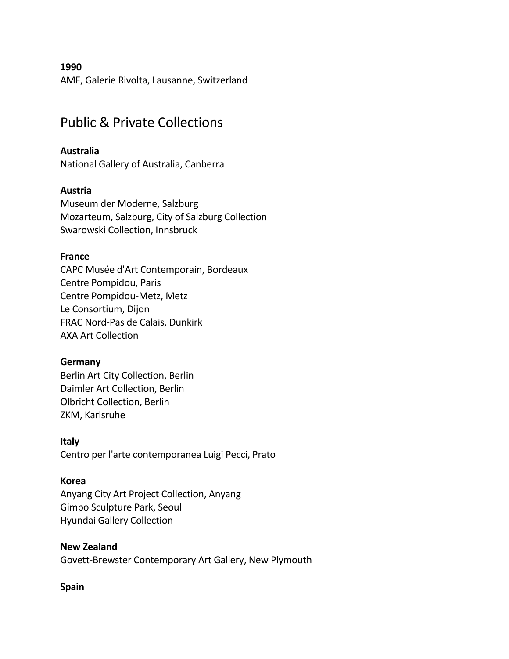AMF, Galerie Rivolta, Lausanne, Switzerland

# Public & Private Collections

### **Australia**

National Gallery of Australia, Canberra

#### **Austria**

Museum der Moderne, Salzburg Mozarteum, Salzburg, City of Salzburg Collection Swarowski Collection, Innsbruck

#### **France**

CAPC Musée d'Art Contemporain, Bordeaux Centre Pompidou, Paris Centre Pompidou-Metz, Metz Le Consortium, Dijon FRAC Nord-Pas de Calais, Dunkirk AXA Art Collection

### **Germany**

Berlin Art City Collection, Berlin Daimler Art Collection, Berlin Olbricht Collection, Berlin ZKM, Karlsruhe

### **Italy**

Centro per l'arte contemporanea Luigi Pecci, Prato

### **Korea**

Anyang City Art Project Collection, Anyang Gimpo Sculpture Park, Seoul Hyundai Gallery Collection

#### **New Zealand**

Govett-Brewster Contemporary Art Gallery, New Plymouth

### **Spain**